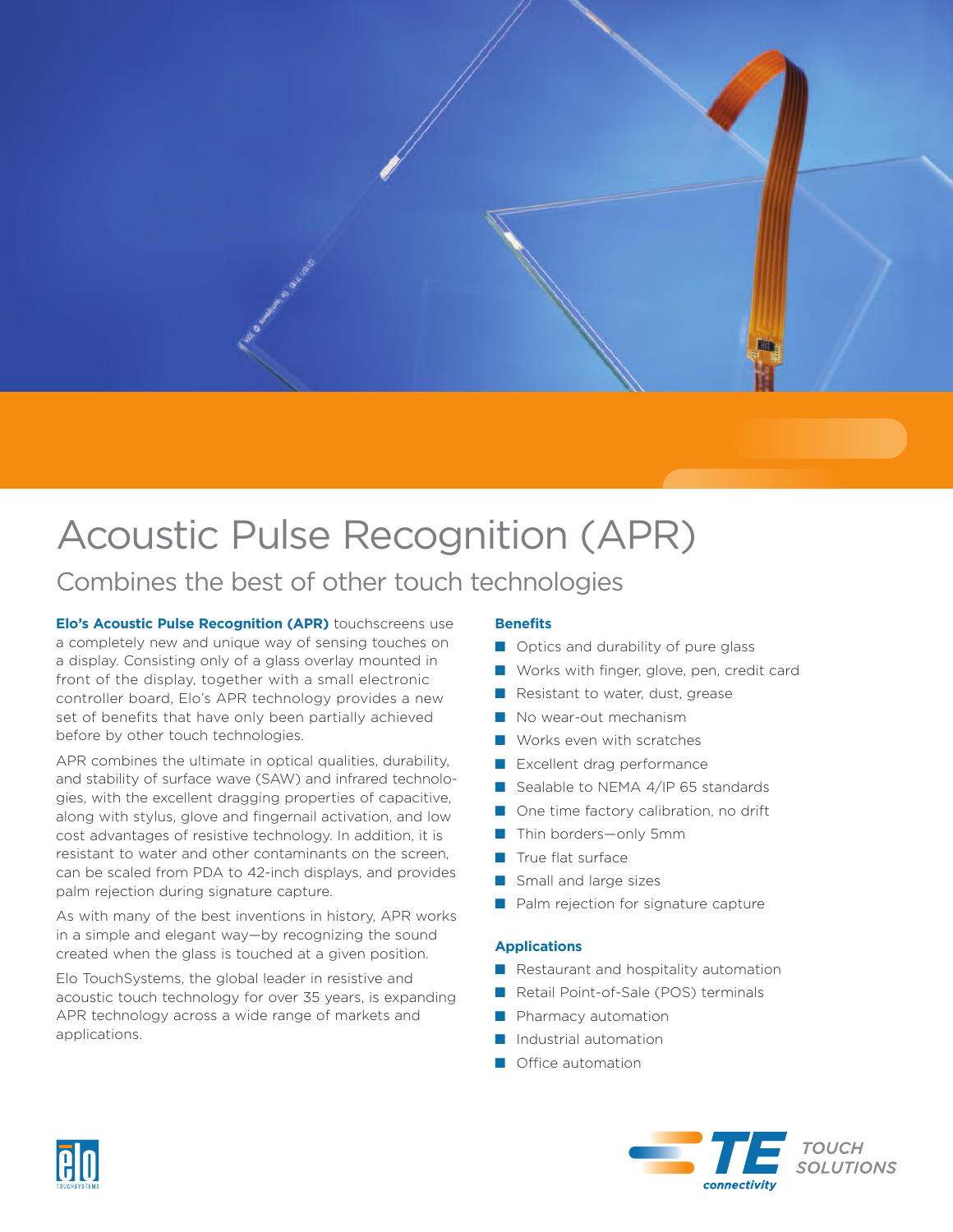

# Acoustic Pulse Recognition (APR)

## Combines the best of other touch technologies

**Elo's Acoustic Pulse Recognition (APR)** touchscreens use a completely new and unique way of sensing touches on a display. Consisting only of a glass overlay mounted in front of the display, together with a small electronic controller board, Elo's APR technology provides a new set of benefits that have only been partially achieved before by other touch technologies.

APR combines the ultimate in optical qualities, durability, and stability of surface wave (SAW) and infrared technologies, with the excellent dragging properties of capacitive, along with stylus, glove and fingernail activation, and low cost advantages of resistive technology. In addition, it is resistant to water and other contaminants on the screen, can be scaled from PDA to 42-inch displays, and provides palm rejection during signature capture.

As with many of the best inventions in history, APR works in a simple and elegant way—by recognizing the sound created when the glass is touched at a given position.

Elo TouchSystems, the global leader in resistive and acoustic touch technology for over 35 years, is expanding APR technology across a wide range of markets and applications.

#### **Benefits**

- Optics and durability of pure glass
- Works with finger, glove, pen, credit card
- Resistant to water, dust, grease
- No wear-out mechanism
- Works even with scratches
- Excellent drag performance
- Sealable to NEMA 4/IP 65 standards
- One time factory calibration, no drift
- Thin borders—only 5mm
- **■** True flat surface
- Small and large sizes
- Palm rejection for signature capture

#### **Applications**

- Restaurant and hospitality automation
- Retail Point-of-Sale (POS) terminals
- Pharmacy automation
- Industrial automation
- Office automation